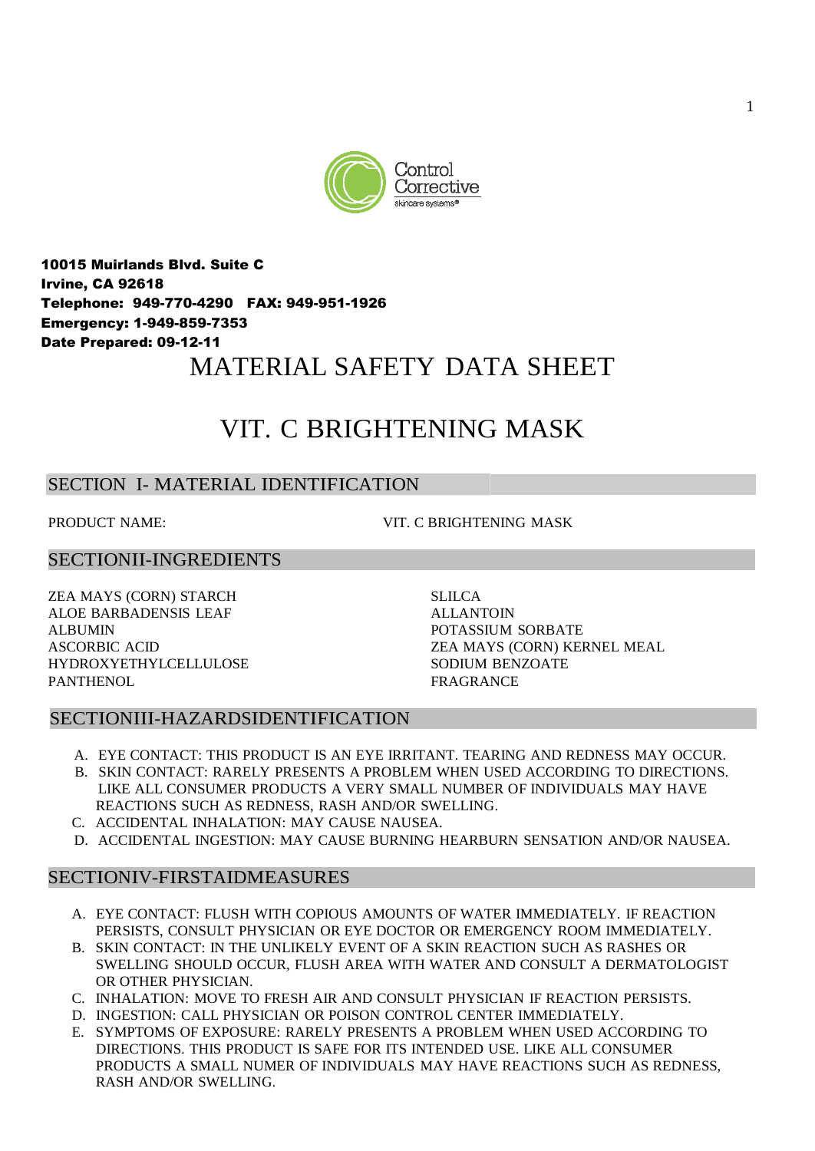

10015 Muirlands Blvd. Suite C Irvine, CA 92618 Telephone: 949-770-4290 FAX: 949-951-1926 Emergency: 1-949-859-7353 Date Prepared: 09-12-11 MATERIAL SAFETY DATA SHEET

# VIT. C BRIGHTENING MASK

# SECTION I- MATERIAL IDENTIFICATION

PRODUCT NAME:  $VIT$  C BRIGHTENING MASK

## SECTIONII-INGREDIENTS

ZEA MAYS (CORN) STARCH SLILCA ALOE BARBADENSIS LEAF ALLANTOIN ALBUMIN POTASSIUM SORBATE HYDROXYETHYLCELLULOSE SODIUM BENZOATE PANTHENOL FRAGRANCE

ASCORBIC ACID ZEA MAYS (CORN) KERNEL MEAL

## SECTIONIII-HAZARDSIDENTIFICATION

- A. EYE CONTACT: THIS PRODUCT IS AN EYE IRRITANT. TEARING AND REDNESS MAY OCCUR.
- B. SKIN CONTACT: RARELY PRESENTS A PROBLEM WHEN USED ACCORDING TO DIRECTIONS. LIKE ALL CONSUMER PRODUCTS A VERY SMALL NUMBER OF INDIVIDUALS MAY HAVE REACTIONS SUCH AS REDNESS, RASH AND/OR SWELLING.
- C. ACCIDENTAL INHALATION: MAY CAUSE NAUSEA.
- D. ACCIDENTAL INGESTION: MAY CAUSE BURNING HEARBURN SENSATION AND/OR NAUSEA.

## SECTIONIV-FIRSTAIDMEASURES

- A. EYE CONTACT: FLUSH WITH COPIOUS AMOUNTS OF WATER IMMEDIATELY. IF REACTION PERSISTS, CONSULT PHYSICIAN OR EYE DOCTOR OR EMERGENCY ROOM IMMEDIATELY.
- B. SKIN CONTACT: IN THE UNLIKELY EVENT OF A SKIN REACTION SUCH AS RASHES OR SWELLING SHOULD OCCUR, FLUSH AREA WITH WATER AND CONSULT A DERMATOLOGIST OR OTHER PHYSICIAN.
- C. INHALATION: MOVE TO FRESH AIR AND CONSULT PHYSICIAN IF REACTION PERSISTS.
- D. INGESTION: CALL PHYSICIAN OR POISON CONTROL CENTER IMMEDIATELY.
- E. SYMPTOMS OF EXPOSURE: RARELY PRESENTS A PROBLEM WHEN USED ACCORDING TO DIRECTIONS. THIS PRODUCT IS SAFE FOR ITS INTENDED USE. LIKE ALL CONSUMER PRODUCTS A SMALL NUMER OF INDIVIDUALS MAY HAVE REACTIONS SUCH AS REDNESS, RASH AND/OR SWELLING.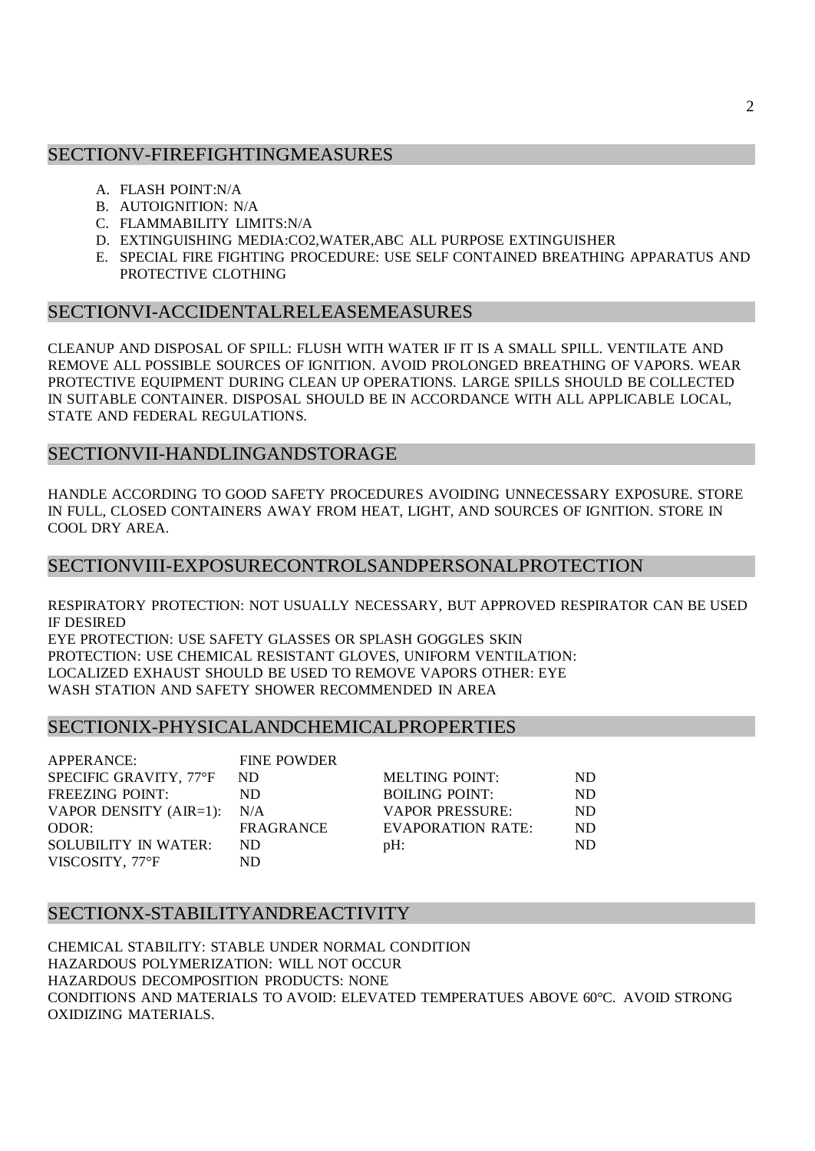## SECTIONV-FIREFIGHTINGMEASURES

- A. FLASH POINT:N/A
- B. AUTOIGNITION: N/A
- C. FLAMMABILITY LIMITS:N/A
- D. EXTINGUISHING MEDIA:CO2,WATER,ABC ALL PURPOSE EXTINGUISHER
- E. SPECIAL FIRE FIGHTING PROCEDURE: USE SELF CONTAINED BREATHING APPARATUS AND PROTECTIVE CLOTHING

#### SECTIONVI-ACCIDENTALRELEASEMEASURES

CLEANUP AND DISPOSAL OF SPILL: FLUSH WITH WATER IF IT IS A SMALL SPILL. VENTILATE AND REMOVE ALL POSSIBLE SOURCES OF IGNITION. AVOID PROLONGED BREATHING OF VAPORS. WEAR PROTECTIVE EQUIPMENT DURING CLEAN UP OPERATIONS. LARGE SPILLS SHOULD BE COLLECTED IN SUITABLE CONTAINER. DISPOSAL SHOULD BE IN ACCORDANCE WITH ALL APPLICABLE LOCAL, STATE AND FEDERAL REGULATIONS.

## SECTIONVII-HANDLINGANDSTORAGE

HANDLE ACCORDING TO GOOD SAFETY PROCEDURES AVOIDING UNNECESSARY EXPOSURE. STORE IN FULL, CLOSED CONTAINERS AWAY FROM HEAT, LIGHT, AND SOURCES OF IGNITION. STORE IN COOL DRY AREA.

## SECTIONVIII-EXPOSURECONTROLSANDPERSONALPROTECTION

RESPIRATORY PROTECTION: NOT USUALLY NECESSARY, BUT APPROVED RESPIRATOR CAN BE USED IF DESIRED

EYE PROTECTION: USE SAFETY GLASSES OR SPLASH GOGGLES SKIN PROTECTION: USE CHEMICAL RESISTANT GLOVES, UNIFORM VENTILATION: LOCALIZED EXHAUST SHOULD BE USED TO REMOVE VAPORS OTHER: EYE WASH STATION AND SAFETY SHOWER RECOMMENDED IN AREA

## SECTIONIX-PHYSICALANDCHEMICALPROPERTIES

APPERANCE: FINE POWDER SPECIFIC GRAVITY, 77°F ND M FREEZING POINT: ND BOILING POINT: VAPOR DENSITY  $(AIR=1)$ : N/A V ODOR: FRAGRANCE E SOLUBILITY IN WATER: ND pl VISCOSITY, 77°F ND

| IELTING POINT:        | ND. |
|-----------------------|-----|
| OILING POINT:         | ND. |
| <b>APOR PRESSURE:</b> | ND. |
| VAPORATION RATE:      | ND. |
| H۰                    | ND. |

## SECTIONX-STABILITYANDREACTIVITY

CHEMICAL STABILITY: STABLE UNDER NORMAL CONDITION HAZARDOUS POLYMERIZATION: WILL NOT OCCUR HAZARDOUS DECOMPOSITION PRODUCTS: NONE CONDITIONS AND MATERIALS TO AVOID: ELEVATED TEMPERATUES ABOVE 60°C. AVOID STRONG OXIDIZING MATERIALS.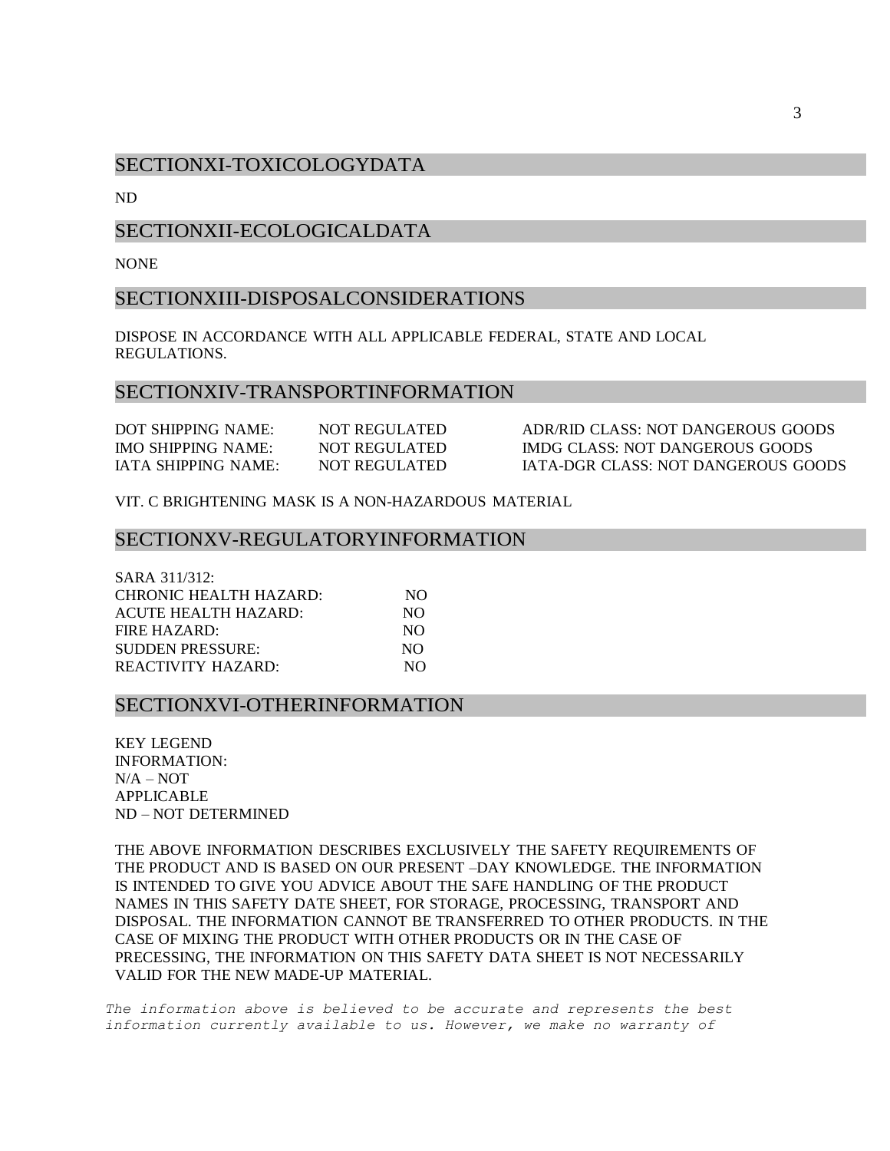## SECTIONXI-TOXICOLOGYDATA

ND

## SECTIONXII-ECOLOGICALDATA

**NONE** 

#### SECTIONXIII-DISPOSALCONSIDERATIONS

DISPOSE IN ACCORDANCE WITH ALL APPLICABLE FEDERAL, STATE AND LOCAL REGULATIONS.

#### SECTIONXIV-TRANSPORTINFORMATION

| DOT SHIPPING NAME:  | NOT REGULATED | ADR/RID CLASS: NOT DANGEROUS GOODS  |
|---------------------|---------------|-------------------------------------|
| IMO SHIPPING NAME:  | NOT REGULATED | IMDG CLASS: NOT DANGEROUS GOODS     |
| IATA SHIPPING NAME: | NOT REGULATED | IATA-DGR CLASS: NOT DANGEROUS GOODS |

VIT. C BRIGHTENING MASK IS A NON-HAZARDOUS MATERIAL

#### SECTIONXV-REGULATORYINFORMATION

| SARA 311/312:               |     |
|-----------------------------|-----|
| CHRONIC HEALTH HAZARD:      | NO. |
| <b>ACUTE HEALTH HAZARD:</b> | NO. |
| FIRE HAZARD:                | NO. |
| <b>SUDDEN PRESSURE:</b>     | NO. |
| REACTIVITY HAZARD:          | NO. |

#### SECTIONXVI-OTHERINFORMATION

KEY LEGEND INFORMATION:  $N/A - NOT$ APPLICABLE ND – NOT DETERMINED

THE ABOVE INFORMATION DESCRIBES EXCLUSIVELY THE SAFETY REQUIREMENTS OF THE PRODUCT AND IS BASED ON OUR PRESENT –DAY KNOWLEDGE. THE INFORMATION IS INTENDED TO GIVE YOU ADVICE ABOUT THE SAFE HANDLING OF THE PRODUCT NAMES IN THIS SAFETY DATE SHEET, FOR STORAGE, PROCESSING, TRANSPORT AND DISPOSAL. THE INFORMATION CANNOT BE TRANSFERRED TO OTHER PRODUCTS. IN THE CASE OF MIXING THE PRODUCT WITH OTHER PRODUCTS OR IN THE CASE OF PRECESSING, THE INFORMATION ON THIS SAFETY DATA SHEET IS NOT NECESSARILY VALID FOR THE NEW MADE-UP MATERIAL.

*The information above is believed to be accurate and represents the best information currently available to us. However, we make no warranty of*